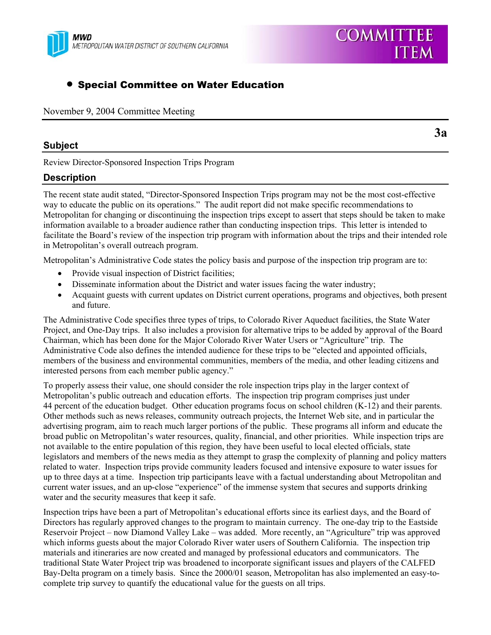

## • Special Committee on Water Education

November 9, 2004 Committee Meeting

#### **Subject**

**3a** 

Review Director-Sponsored Inspection Trips Program

### **Description**

The recent state audit stated, "Director-Sponsored Inspection Trips program may not be the most cost-effective way to educate the public on its operations." The audit report did not make specific recommendations to Metropolitan for changing or discontinuing the inspection trips except to assert that steps should be taken to make information available to a broader audience rather than conducting inspection trips. This letter is intended to facilitate the Board's review of the inspection trip program with information about the trips and their intended role in Metropolitan's overall outreach program.

Metropolitan's Administrative Code states the policy basis and purpose of the inspection trip program are to:

- Provide visual inspection of District facilities;
- Disseminate information about the District and water issues facing the water industry;
- Acquaint guests with current updates on District current operations, programs and objectives, both present and future.

The Administrative Code specifies three types of trips, to Colorado River Aqueduct facilities, the State Water Project, and One-Day trips. It also includes a provision for alternative trips to be added by approval of the Board Chairman, which has been done for the Major Colorado River Water Users or "Agriculture" trip. The Administrative Code also defines the intended audience for these trips to be "elected and appointed officials, members of the business and environmental communities, members of the media, and other leading citizens and interested persons from each member public agency."

To properly assess their value, one should consider the role inspection trips play in the larger context of Metropolitan's public outreach and education efforts. The inspection trip program comprises just under 44 percent of the education budget. Other education programs focus on school children (K-12) and their parents. Other methods such as news releases, community outreach projects, the Internet Web site, and in particular the advertising program, aim to reach much larger portions of the public. These programs all inform and educate the broad public on Metropolitan's water resources, quality, financial, and other priorities. While inspection trips are not available to the entire population of this region, they have been useful to local elected officials, state legislators and members of the news media as they attempt to grasp the complexity of planning and policy matters related to water. Inspection trips provide community leaders focused and intensive exposure to water issues for up to three days at a time. Inspection trip participants leave with a factual understanding about Metropolitan and current water issues, and an up-close "experience" of the immense system that secures and supports drinking water and the security measures that keep it safe.

Inspection trips have been a part of Metropolitan's educational efforts since its earliest days, and the Board of Directors has regularly approved changes to the program to maintain currency. The one-day trip to the Eastside Reservoir Project – now Diamond Valley Lake – was added. More recently, an "Agriculture" trip was approved which informs guests about the major Colorado River water users of Southern California. The inspection trip materials and itineraries are now created and managed by professional educators and communicators. The traditional State Water Project trip was broadened to incorporate significant issues and players of the CALFED Bay-Delta program on a timely basis. Since the 2000/01 season, Metropolitan has also implemented an easy-tocomplete trip survey to quantify the educational value for the guests on all trips.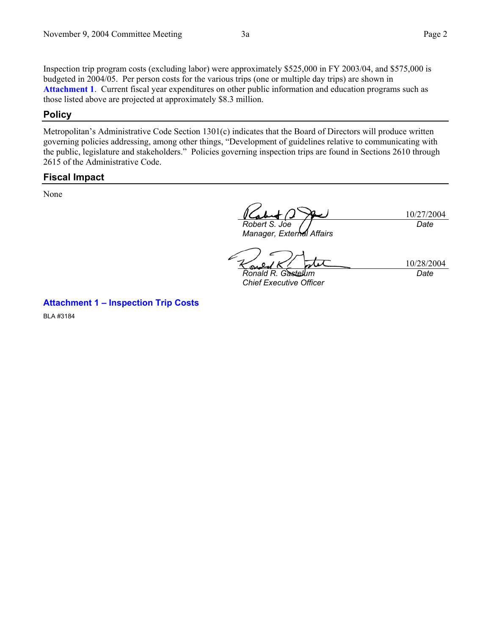Inspection trip program costs (excluding labor) were approximately \$525,000 in FY 2003/04, and \$575,000 is budgeted in 2004/05. Per person costs for the various trips (one or multiple day trips) are shown in **Attachment 1**. Current fiscal year expenditures on other public information and education programs such as those listed above are projected at approximately \$8.3 million.

#### **Policy**

Metropolitan's Administrative Code Section 1301(c) indicates that the Board of Directors will produce written governing policies addressing, among other things, "Development of guidelines relative to communicating with the public, legislature and stakeholders." Policies governing inspection trips are found in Sections 2610 through 2615 of the Administrative Code.

#### **Fiscal Impact**

None

*Robert S. Joe* 

*Manager, External Affairs* 

10/27/2004

*Date* 

*Ronald R. Gastelum Chief Executive Officer* 

10/28/2004 *Date* 

**Attachment 1 – Inspection Trip Costs** 

BLA #3184